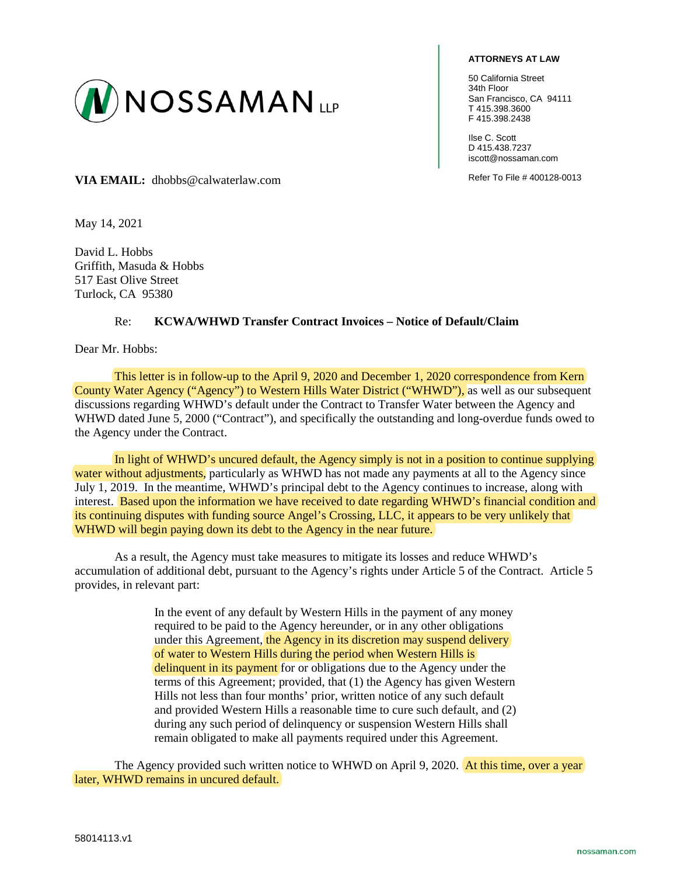

## **ATTORNEYS AT LAW**

50 California Street 34th Floor San Francisco, CA 94111 T 415.398.3600 F 415.398.2438

Ilse C. Scott D 415.438.7237 iscott@nossaman.com

VIA EMAIL: dhobbs@calwaterlaw.com Refer To File # 400128-0013

May 14, 2021

David L. Hobbs Griffith, Masuda & Hobbs 517 East Olive Street Turlock, CA 95380

## Re: **KCWA/WHWD Transfer Contract Invoices – Notice of Default/Claim**

Dear Mr. Hobbs:

This letter is in follow-up to the April 9, 2020 and December 1, 2020 correspondence from Kern County Water Agency ("Agency") to Western Hills Water District ("WHWD"), as well as our subsequent discussions regarding WHWD's default under the Contract to Transfer Water between the Agency and WHWD dated June 5, 2000 ("Contract"), and specifically the outstanding and long-overdue funds owed to the Agency under the Contract.

In light of WHWD's uncured default, the Agency simply is not in a position to continue supplying water without adjustments, particularly as WHWD has not made any payments at all to the Agency since July 1, 2019. In the meantime, WHWD's principal debt to the Agency continues to increase, along with interest. Based upon the information we have received to date regarding WHWD's financial condition and its continuing disputes with funding source Angel's Crossing, LLC, it appears to be very unlikely that WHWD will begin paying down its debt to the Agency in the near future.

As a result, the Agency must take measures to mitigate its losses and reduce WHWD's accumulation of additional debt, pursuant to the Agency's rights under Article 5 of the Contract. Article 5 provides, in relevant part:

> In the event of any default by Western Hills in the payment of any money required to be paid to the Agency hereunder, or in any other obligations under this Agreement, the Agency in its discretion may suspend delivery of water to Western Hills during the period when Western Hills is delinquent in its payment for or obligations due to the Agency under the terms of this Agreement; provided, that (1) the Agency has given Western Hills not less than four months' prior, written notice of any such default and provided Western Hills a reasonable time to cure such default, and (2) during any such period of delinquency or suspension Western Hills shall remain obligated to make all payments required under this Agreement.

The Agency provided such written notice to WHWD on April 9, 2020. At this time, over a year later, WHWD remains in uncured default.